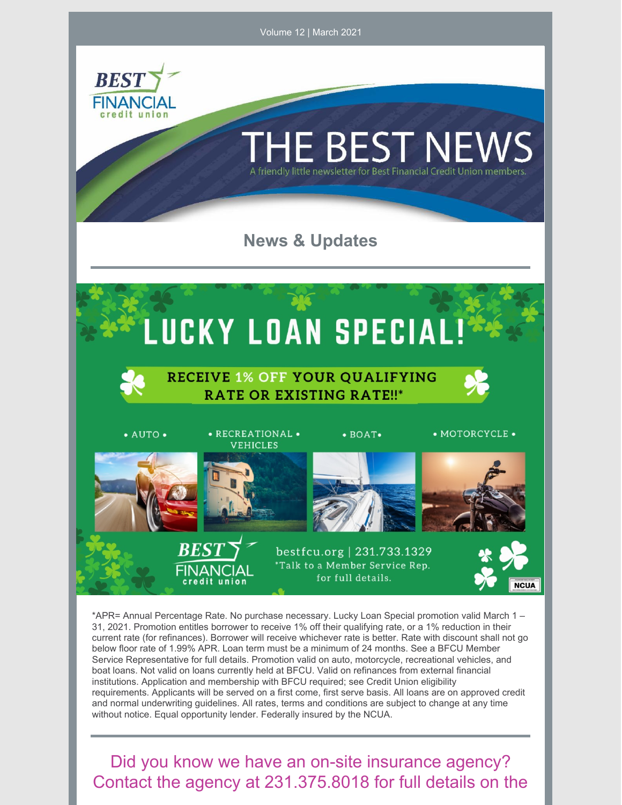

\*APR= Annual Percentage Rate. No purchase necessary. Lucky Loan Special promotion valid March 1 – 31, 2021. Promotion entitles borrower to receive 1% off their qualifying rate, or a 1% reduction in their current rate (for refinances). Borrower will receive whichever rate is better. Rate with discount shall not go below floor rate of 1.99% APR. Loan term must be a minimum of 24 months. See a BFCU Member Service Representative for full details. Promotion valid on auto, motorcycle, recreational vehicles, and boat loans. Not valid on loans currently held at BFCU. Valid on refinances from external financial institutions. Application and membership with BFCU required; see Credit Union eligibility requirements. Applicants will be served on a first come, first serve basis. All loans are on approved credit and normal underwriting guidelines. All rates, terms and conditions are subject to change at any time without notice. Equal opportunity lender. Federally insured by the NCUA.

Did you know we have an on-site insurance agency? Contact the agency at 231.375.8018 for full details on the